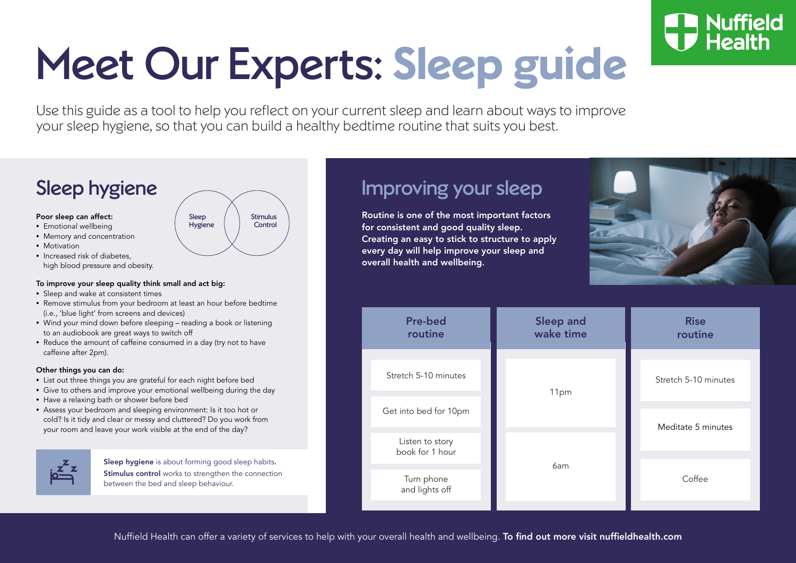# Meet Our Experts: **Sleep guide**

Use this guide as a tool to help you reflect on your current sleep and learn about ways to improve your sleep hygiene, so that you can build a healthy bedtime routine that suits you best.

## Sleep hygiene

#### Poor sleep can affect:

- **•** Emotional wellbeing
- **•** Memory and concentration
- **•** Motivation
- **•** Increased risk of diabetes, high blood pressure and obesity.

#### To improve your sleep quality think small and act big:

- **•** Sleep and wake at consistent times
- **•** Remove stimulus from your bedroom at least an hour before bedtime (i.e., 'blue light' from screens and devices)
- **•** Wind your mind down before sleeping reading a book or listening to an audiobook are great ways to switch off
- **•** Reduce the amount of caffeine consumed in a day (try not to have caffeine after 2pm).

### Other things you can do:

- **•** List out three things you are grateful for each night before bed
- **•** Give to others and improve your emotional wellbeing during the day
- **•** Have a relaxing bath or shower before bed
- **•** Assess your bedroom and sleeping environment: Is it too hot or cold? Is it tidy and clear or messy and cluttered? Do you work from your room and leave your work visible at the end of the day?



Sleep hygiene is about forming good sleep habits. Stimulus control works to strengthen the connection between the bed and sleep behaviour.

Sleep Hygiene Stimulus **Control** 

### Improving your sleep

Routine is one of the most important factors for consistent and good quality sleep. Creating an easy to stick to structure to apply every day will help improve your sleep and overall health and wellbeing.



|      | routine              |
|------|----------------------|
| 11pm | Stretch 5-10 minutes |
|      |                      |
| 6am  | Meditate 5 minutes   |
|      | Coffee               |
|      |                      |